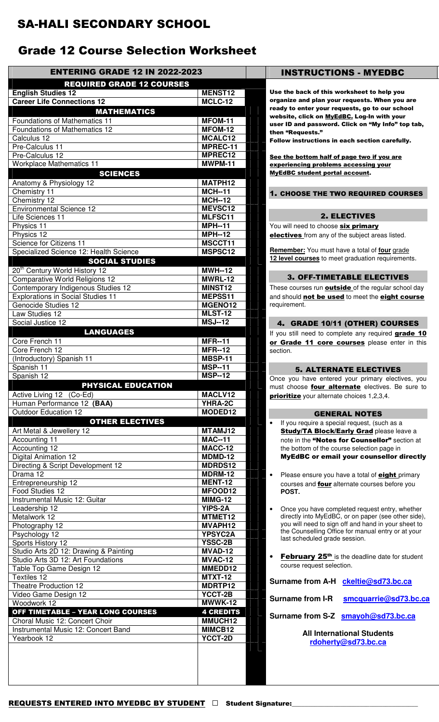## SA-HALI SECONDARY SCHOOL

# Grade 12 Course Selection Worksheet

| <b>ENTERING GRADE 12 IN 2022-2023</b>                           |                           | <b>INSTRUCTIONS - MYEDBC</b>                                                                               |
|-----------------------------------------------------------------|---------------------------|------------------------------------------------------------------------------------------------------------|
| <b>REQUIRED GRADE 12 COURSES</b>                                |                           |                                                                                                            |
| <b>English Studies 12</b>                                       | <b>MENST12</b>            | Use the back of this worksheet to help you                                                                 |
| <b>Career Life Connections 12</b>                               | <b>MCLC-12</b>            | organize and plan your requests. When you are                                                              |
| <b>MATHEMATICS</b>                                              |                           | ready to enter your requests, go to our school<br>website, click on MyEdBC. Log-In with your               |
| <b>Foundations of Mathematics 11</b>                            | MFOM-11                   | user ID and password. Click on "My Info" top tab,                                                          |
| Foundations of Mathematics 12                                   | MFOM-12                   | then "Requests."                                                                                           |
| Calculus 12                                                     | MCALC12                   | Follow instructions in each section carefully.                                                             |
| Pre-Calculus 11                                                 | MPREC-11                  |                                                                                                            |
| Pre-Calculus 12                                                 | MPREC12<br><b>MWPM-11</b> | See the bottom half of page two if you are                                                                 |
| <b>Workplace Mathematics 11</b>                                 |                           | experiencing problems accessing your<br><b>MyEdBC student portal account.</b>                              |
| <b>SCIENCES</b>                                                 | MATPH12                   |                                                                                                            |
| Anatomy & Physiology 12<br>Chemistry 11                         | <b>MCH--11</b>            |                                                                                                            |
| Chemistry 12                                                    | <b>MCH--12</b>            | 1. CHOOSE THE TWO REQUIRED COURSES                                                                         |
| <b>Environmental Science 12</b>                                 | MEVSC12                   |                                                                                                            |
| Life Sciences 11                                                | MLFSC11                   | <b>2. ELECTIVES</b>                                                                                        |
| Physics 11                                                      | $\overline{MPH}$ -11      | You will need to choose six primary                                                                        |
| Physics 12                                                      | $\overline{MPH}$ --12     | electives from any of the subject areas listed.                                                            |
| Science for Citizens 11                                         | MSCCT11                   |                                                                                                            |
| Specialized Science 12: Health Science                          | MSPSC12                   | Remember: You must have a total of four grade                                                              |
| <b>SOCIAL STUDIES</b>                                           |                           | 12 level courses to meet graduation requirements.                                                          |
| 20 <sup>th</sup> Century World History 12                       | <b>MWH--12</b>            |                                                                                                            |
| <b>Comparative World Religions 12</b>                           | MWRL-12                   | <b>3. OFF-TIMETABLE ELECTIVES</b>                                                                          |
| Contemporary Indigenous Studies 12                              | MINST12                   | These courses run <b>outside</b> of the regular school day                                                 |
| <b>Explorations in Social Studies 11</b><br>Genocide Studies 12 | MEPSS11<br>MGENO12        | and should not be used to meet the eight course<br>requirement.                                            |
| Law Studies 12                                                  | <b>MLST-12</b>            |                                                                                                            |
| Social Justice 12                                               | <b>MSJ--12</b>            | 4. GRADE 10/11 (OTHER) COURSES                                                                             |
| <b>LANGUAGES</b>                                                |                           | If you still need to complete any required grade 10                                                        |
| Core French 11                                                  | <b>MFR--11</b>            | or Grade 11 core courses please enter in this                                                              |
| Core French 12                                                  | <b>MFR--12</b>            | section.                                                                                                   |
| (Introductory) Spanish 11                                       | MBSP-11                   |                                                                                                            |
| Spanish 11                                                      | <b>MSP--11</b>            | <b>5. ALTERNATE ELECTIVES</b>                                                                              |
| Spanish 12                                                      | <b>MSP--12</b>            | Once you have entered your primary electives, you                                                          |
| PHYSICAL EDUCATION                                              |                           | must choose four alternate electives. Be sure to                                                           |
| Active Living 12 (Co-Ed)                                        | MACLV12                   | <b>prioritize</b> your alternate choices 1,2,3,4.                                                          |
| Human Performance 12 (BAA)                                      | YHRA-2C                   |                                                                                                            |
| Outdoor Education 12                                            | MODED12                   | <b>GENERAL NOTES</b>                                                                                       |
| <b>OTHER ELECTIVES</b>                                          |                           | If you require a special request, (such as a<br>$\bullet$                                                  |
| Art Metal & Jewellery 12                                        | MTAMJ12<br><b>MAC--11</b> | <b>Study/TA Block/Early Grad please leave a</b>                                                            |
| Accounting 11<br>Accounting 12                                  | $MACC-12$                 | note in the "Notes for Counsellor" section at<br>the bottom of the course selection page in                |
| <b>Digital Animation 12</b>                                     | MDMD-12                   | <b>MyEdBC or email your counsellor directly</b>                                                            |
| Directing & Script Development 12                               | <b>MDRDS12</b>            |                                                                                                            |
| Drama 12                                                        | <b>MDRM-12</b>            | Please ensure you have a total of <b>eight</b> primary<br>$\bullet$                                        |
| Entrepreneurship 12                                             | <b>MENT-12</b>            | courses and four alternate courses before you                                                              |
| Food Studies 12                                                 | MFOOD12                   | POST.                                                                                                      |
| Instrumental Music 12: Guitar                                   | <b>MIMG-12</b>            |                                                                                                            |
| Leadership 12                                                   | <b>YIPS-2A</b>            | Once you have completed request entry, whether<br>$\bullet$                                                |
| Metalwork 12                                                    | MTMET12                   | directly into MyEdBC, or on paper (see other side),<br>you will need to sign off and hand in your sheet to |
| Photography 12                                                  | MVAPH12                   | the Counselling Office for manual entry or at your                                                         |
| Psychology 12<br>Sports History 12                              | YPSYC2A<br><b>YSSC-2B</b> | last scheduled grade session.                                                                              |
| Studio Arts 2D 12: Drawing & Painting                           | MVAD-12                   |                                                                                                            |
| Studio Arts 3D 12: Art Foundations                              | MVAC-12                   | February 25 <sup>th</sup> is the deadline date for student<br>$\bullet$                                    |
| Table Top Game Design 12                                        | MMEDD12                   | course request selection.                                                                                  |
| Textiles 12                                                     | <b>MTXT-12</b>            |                                                                                                            |
| Theatre Production 12                                           | MDRTP12                   | Surname from A-H ckeltie@sd73.bc.ca                                                                        |
| Video Game Design 12                                            | YCCT-2B                   | <b>Surname from I-R</b><br>smcquarrie@sd73.bc.ca                                                           |
| Woodwork 12                                                     | MWWK-12                   |                                                                                                            |
| <b>OFF TIMETABLE - YEAR LONG COURSES</b>                        | <b>4 CREDITS</b>          | Surname from S-Z smayoh@sd73.bc.ca                                                                         |
| Choral Music 12: Concert Choir                                  | MMUCH12                   |                                                                                                            |
| Instrumental Music 12: Concert Band                             | MIMCB12                   | <b>All International Students</b>                                                                          |
| Yearbook 12                                                     | <b>YCCT-2D</b>            | rdoherty@sd73.bc.ca                                                                                        |
|                                                                 |                           |                                                                                                            |
|                                                                 |                           |                                                                                                            |
|                                                                 |                           |                                                                                                            |
|                                                                 |                           |                                                                                                            |